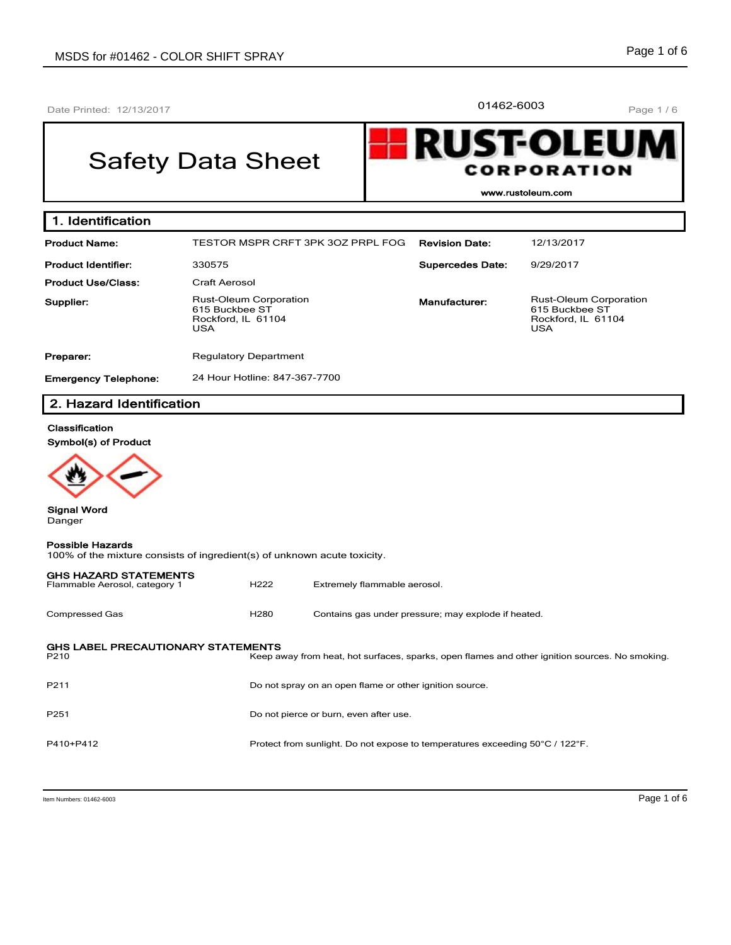01462-6003 Page 1/6

# Safety Data Sheet



**www.rustoleum.com**

| 1. Identification           |                                                                              |                         |                                                                                     |
|-----------------------------|------------------------------------------------------------------------------|-------------------------|-------------------------------------------------------------------------------------|
| <b>Product Name:</b>        | TESTOR MSPR CRFT 3PK 3OZ PRPL FOG                                            | <b>Revision Date:</b>   | 12/13/2017                                                                          |
| <b>Product Identifier:</b>  | 330575                                                                       | <b>Supercedes Date:</b> | 9/29/2017                                                                           |
| <b>Product Use/Class:</b>   | Craft Aerosol                                                                |                         |                                                                                     |
| Supplier:                   | <b>Rust-Oleum Corporation</b><br>615 Buckbee ST<br>Rockford, IL 61104<br>USA | Manufacturer:           | <b>Rust-Oleum Corporation</b><br>615 Buckbee ST<br>Rockford, IL 61104<br><b>USA</b> |
| Preparer:                   | <b>Regulatory Department</b>                                                 |                         |                                                                                     |
| <b>Emergency Telephone:</b> | 24 Hour Hotline: 847-367-7700                                                |                         |                                                                                     |

# **2. Hazard Identification**

# **Classification**

**Symbol(s) of Product**



**Signal Word** Danger

| Possible Hazards<br>100% of the mixture consists of ingredient(s) of unknown acute toxicity.                                                        |                                                                              |                                                     |  |  |  |  |
|-----------------------------------------------------------------------------------------------------------------------------------------------------|------------------------------------------------------------------------------|-----------------------------------------------------|--|--|--|--|
| <b>GHS HAZARD STATEMENTS</b><br>Flammable Aerosol, category 1                                                                                       | H <sub>222</sub>                                                             | Extremely flammable aerosol.                        |  |  |  |  |
| <b>Compressed Gas</b>                                                                                                                               | H <sub>280</sub>                                                             | Contains gas under pressure; may explode if heated. |  |  |  |  |
| <b>GHS LABEL PRECAUTIONARY STATEMENTS</b><br>Keep away from heat, hot surfaces, sparks, open flames and other ignition sources. No smoking.<br>P210 |                                                                              |                                                     |  |  |  |  |
| P <sub>211</sub>                                                                                                                                    | Do not spray on an open flame or other ignition source.                      |                                                     |  |  |  |  |
| P <sub>251</sub>                                                                                                                                    | Do not pierce or burn, even after use.                                       |                                                     |  |  |  |  |
| P410+P412                                                                                                                                           | Protect from sunlight. Do not expose to temperatures exceeding 50°C / 122°F. |                                                     |  |  |  |  |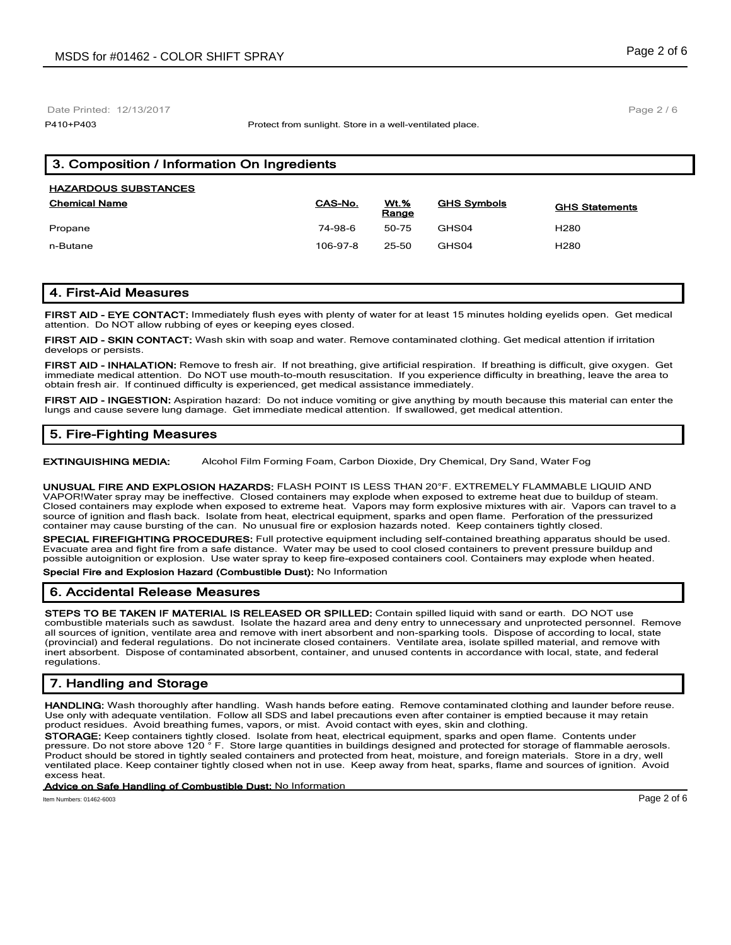P410+P403 Protect from sunlight. Store in a well-ventilated place.

| 3. Composition / Information On Ingredients |                |                      |                    |                       |  |  |  |
|---------------------------------------------|----------------|----------------------|--------------------|-----------------------|--|--|--|
| <b>HAZARDOUS SUBSTANCES</b>                 |                |                      |                    |                       |  |  |  |
| <b>Chemical Name</b>                        | <b>CAS-No.</b> | <b>Wt.%</b><br>Range | <b>GHS Symbols</b> | <b>GHS Statements</b> |  |  |  |
| Propane                                     | 74-98-6        | 50-75                | GHS04              | H <sub>280</sub>      |  |  |  |
| n-Butane                                    | 106-97-8       | 25-50                | GHS04              | H <sub>280</sub>      |  |  |  |

# **4. First-Aid Measures**

**FIRST AID - EYE CONTACT:** Immediately flush eyes with plenty of water for at least 15 minutes holding eyelids open. Get medical attention. Do NOT allow rubbing of eyes or keeping eyes closed.

**FIRST AID - SKIN CONTACT:** Wash skin with soap and water. Remove contaminated clothing. Get medical attention if irritation develops or persists.

**FIRST AID - INHALATION:** Remove to fresh air. If not breathing, give artificial respiration. If breathing is difficult, give oxygen. Get immediate medical attention. Do NOT use mouth-to-mouth resuscitation. If you experience difficulty in breathing, leave the area to obtain fresh air. If continued difficulty is experienced, get medical assistance immediately.

**FIRST AID - INGESTION:** Aspiration hazard: Do not induce vomiting or give anything by mouth because this material can enter the lungs and cause severe lung damage. Get immediate medical attention. If swallowed, get medical attention.

# **5. Fire-Fighting Measures**

**EXTINGUISHING MEDIA:** Alcohol Film Forming Foam, Carbon Dioxide, Dry Chemical, Dry Sand, Water Fog

**UNUSUAL FIRE AND EXPLOSION HAZARDS:** FLASH POINT IS LESS THAN 20°F. EXTREMELY FLAMMABLE LIQUID AND VAPOR!Water spray may be ineffective. Closed containers may explode when exposed to extreme heat due to buildup of steam. Closed containers may explode when exposed to extreme heat. Vapors may form explosive mixtures with air. Vapors can travel to a source of ignition and flash back. Isolate from heat, electrical equipment, sparks and open flame. Perforation of the pressurized container may cause bursting of the can. No unusual fire or explosion hazards noted. Keep containers tightly closed.

**SPECIAL FIREFIGHTING PROCEDURES:** Full protective equipment including self-contained breathing apparatus should be used. Evacuate area and fight fire from a safe distance. Water may be used to cool closed containers to prevent pressure buildup and possible autoignition or explosion. Use water spray to keep fire-exposed containers cool. Containers may explode when heated.

**Special Fire and Explosion Hazard (Combustible Dust):** No Information

## **6. Accidental Release Measures**

**STEPS TO BE TAKEN IF MATERIAL IS RELEASED OR SPILLED:** Contain spilled liquid with sand or earth. DO NOT use combustible materials such as sawdust. Isolate the hazard area and deny entry to unnecessary and unprotected personnel. Remove all sources of ignition, ventilate area and remove with inert absorbent and non-sparking tools. Dispose of according to local, state (provincial) and federal regulations. Do not incinerate closed containers. Ventilate area, isolate spilled material, and remove with inert absorbent. Dispose of contaminated absorbent, container, and unused contents in accordance with local, state, and federal regulations.

# **7. Handling and Storage**

**HANDLING:** Wash thoroughly after handling. Wash hands before eating. Remove contaminated clothing and launder before reuse. Use only with adequate ventilation. Follow all SDS and label precautions even after container is emptied because it may retain product residues. Avoid breathing fumes, vapors, or mist. Avoid contact with eyes, skin and clothing.

**STORAGE:** Keep containers tightly closed. Isolate from heat, electrical equipment, sparks and open flame. Contents under pressure. Do not store above 120 ° F. Store large quantities in buildings designed and protected for storage of flammable aerosols. Product should be stored in tightly sealed containers and protected from heat, moisture, and foreign materials. Store in a dry, well ventilated place. Keep container tightly closed when not in use. Keep away from heat, sparks, flame and sources of ignition. Avoid excess heat.

#### **Advice on Safe Handling of Combustible Dust:** No Information

Item Numbers: 01462-6003 Page 2 of 6

Page 2 / 6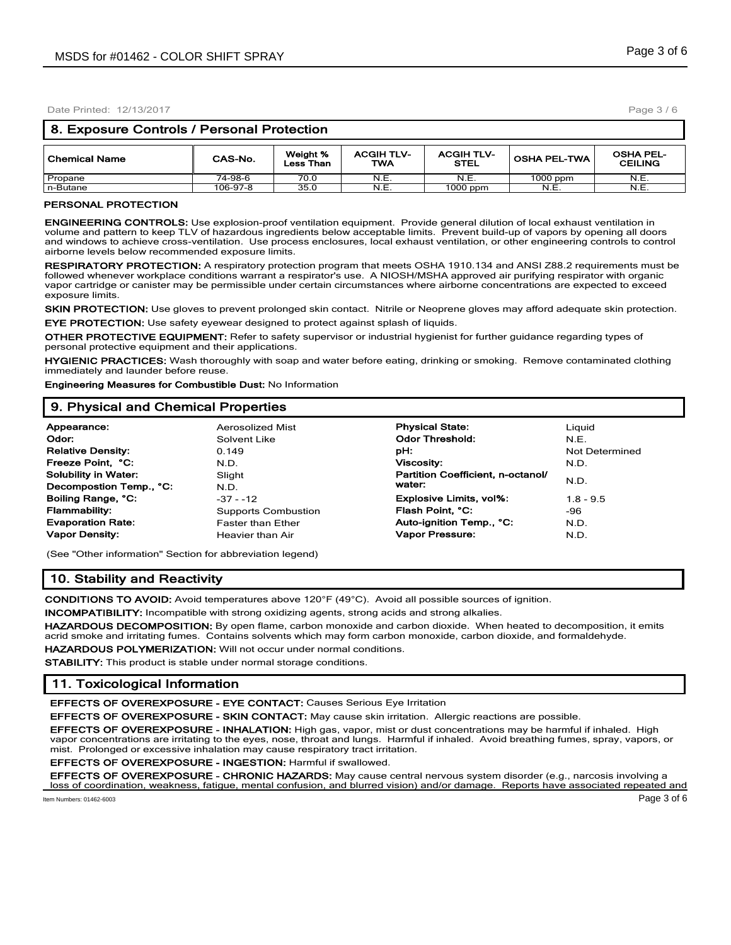| I 8. Exposure Controls / Personal Protection |         |                              |                          |                                  |                     |                                    |  |  |  |
|----------------------------------------------|---------|------------------------------|--------------------------|----------------------------------|---------------------|------------------------------------|--|--|--|
| Chemical Name                                | CAS-No. | Weight %<br><b>Less Than</b> | <b>ACGIH TLV-</b><br>TWA | <b>ACGIH TLV-</b><br><b>STEL</b> | <b>OSHA PEL-TWA</b> | <b>OSHA PEL-</b><br><b>CEILING</b> |  |  |  |
| Propane                                      | 74-98-6 | 70.0                         | N.E                      | N.E.                             | $1000$ ppm          | N.E.                               |  |  |  |

n-Butane 106-97-8 35.0 N.E. 1000 ppm N.E. N.E. N.E.

## **PERSONAL PROTECTION**

**ENGINEERING CONTROLS:** Use explosion-proof ventilation equipment. Provide general dilution of local exhaust ventilation in volume and pattern to keep TLV of hazardous ingredients below acceptable limits. Prevent build-up of vapors by opening all doors and windows to achieve cross-ventilation. Use process enclosures, local exhaust ventilation, or other engineering controls to control airborne levels below recommended exposure limits.

**RESPIRATORY PROTECTION:** A respiratory protection program that meets OSHA 1910.134 and ANSI Z88.2 requirements must be followed whenever workplace conditions warrant a respirator's use. A NIOSH/MSHA approved air purifying respirator with organic vapor cartridge or canister may be permissible under certain circumstances where airborne concentrations are expected to exceed exposure limits.

**SKIN PROTECTION:** Use gloves to prevent prolonged skin contact. Nitrile or Neoprene gloves may afford adequate skin protection. **EYE PROTECTION:** Use safety eyewear designed to protect against splash of liquids.

**OTHER PROTECTIVE EQUIPMENT:** Refer to safety supervisor or industrial hygienist for further guidance regarding types of personal protective equipment and their applications.

**HYGIENIC PRACTICES:** Wash thoroughly with soap and water before eating, drinking or smoking. Remove contaminated clothing immediately and launder before reuse.

**Engineering Measures for Combustible Dust:** No Information

# **9. Physical and Chemical Properties**

| Appearance:                 | Aerosolized Mist           | <b>Physical State:</b>            | Liauid         |
|-----------------------------|----------------------------|-----------------------------------|----------------|
| Odor:                       | Solvent Like               | <b>Odor Threshold:</b>            | N.E.           |
| <b>Relative Density:</b>    | 0.149                      | pH:                               | Not Determined |
| Freeze Point, °C:           | N.D.                       | <b>Viscosity:</b>                 | N.D.           |
| <b>Solubility in Water:</b> | Slight                     | Partition Coefficient. n-octanol/ | N.D.           |
| Decompostion Temp., °C:     | N.D.                       | water:                            |                |
| Boiling Range, °C:          | $-37 - 12$                 | <b>Explosive Limits, vol%:</b>    | $1.8 - 9.5$    |
| Flammability:               | <b>Supports Combustion</b> | Flash Point, °C:                  | -96            |
| <b>Evaporation Rate:</b>    | <b>Faster than Ether</b>   | Auto-ignition Temp., °C:          | N.D.           |
| <b>Vapor Density:</b>       | Heavier than Air           | Vapor Pressure:                   | N.D.           |

(See "Other information" Section for abbreviation legend)

# **10. Stability and Reactivity**

**CONDITIONS TO AVOID:** Avoid temperatures above 120°F (49°C). Avoid all possible sources of ignition.

**INCOMPATIBILITY:** Incompatible with strong oxidizing agents, strong acids and strong alkalies.

**HAZARDOUS DECOMPOSITION:** By open flame, carbon monoxide and carbon dioxide. When heated to decomposition, it emits acrid smoke and irritating fumes. Contains solvents which may form carbon monoxide, carbon dioxide, and formaldehyde.

**HAZARDOUS POLYMERIZATION:** Will not occur under normal conditions.

**STABILITY:** This product is stable under normal storage conditions.

## **11. Toxicological Information**

**EFFECTS OF OVEREXPOSURE - EYE CONTACT:** Causes Serious Eye Irritation

**EFFECTS OF OVEREXPOSURE - SKIN CONTACT:** May cause skin irritation. Allergic reactions are possible.

**EFFECTS OF OVEREXPOSURE - INHALATION:** High gas, vapor, mist or dust concentrations may be harmful if inhaled. High vapor concentrations are irritating to the eyes, nose, throat and lungs. Harmful if inhaled. Avoid breathing fumes, spray, vapors, or mist. Prolonged or excessive inhalation may cause respiratory tract irritation.

**EFFECTS OF OVEREXPOSURE - INGESTION:** Harmful if swallowed.

**EFFECTS OF OVEREXPOSURE - CHRONIC HAZARDS:** May cause central nervous system disorder (e.g., narcosis involving a loss of coordination, weakness, fatigue, mental confusion, and blurred vision) and/or damage. Reports have associated repeated and Item Numbers: 01462-6003 Page 3 of 6

Page 3 / 6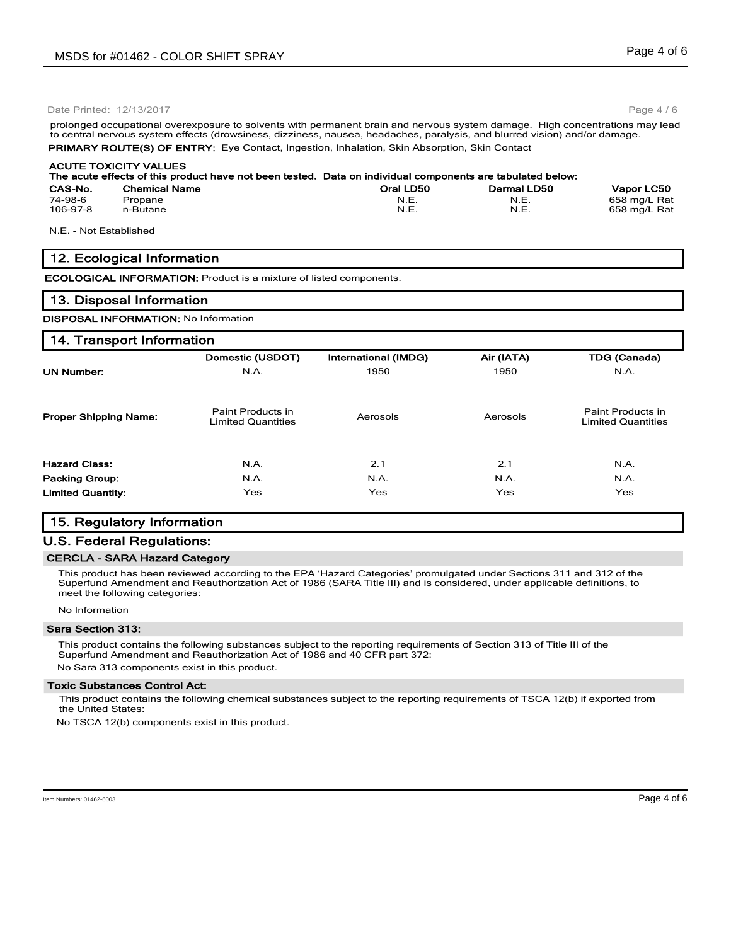Page 4 / 6

prolonged occupational overexposure to solvents with permanent brain and nervous system damage. High concentrations may lead to central nervous system effects (drowsiness, dizziness, nausea, headaches, paralysis, and blurred vision) and/or damage. **PRIMARY ROUTE(S) OF ENTRY:** Eye Contact, Ingestion, Inhalation, Skin Absorption, Skin Contact

## **ACUTE TOXICITY VALUES**

| The acute effects of this product have not been tested. Data on individual components are tabulated below: |                      |           |                    |              |
|------------------------------------------------------------------------------------------------------------|----------------------|-----------|--------------------|--------------|
| CAS-No.                                                                                                    | <b>Chemical Name</b> | Oral LD50 | <b>Dermal LD50</b> | Vapor LC50   |
| 74-98-6                                                                                                    | Propane              | N.E.      | N.E.               | 658 ma/L Rat |
| 106-97-8                                                                                                   | n-Butane             | N.E.      | N.E.               | 658 mg/L Rat |
|                                                                                                            |                      |           |                    |              |

N.E. - Not Established

## **12. Ecological Information**

**ECOLOGICAL INFORMATION:** Product is a mixture of listed components.

## **13. Disposal Information**

**DISPOSAL INFORMATION:** No Information

## **14. Transport Information**

|                              | Domestic (USDOT)                               | International (IMDG) | Air (IATA) | <b>TDG (Canada)</b>                            |
|------------------------------|------------------------------------------------|----------------------|------------|------------------------------------------------|
| <b>UN Number:</b>            | N.A.                                           | 1950                 | 1950       | N.A.                                           |
| <b>Proper Shipping Name:</b> | Paint Products in<br><b>Limited Quantities</b> | Aerosols             | Aerosols   | Paint Products in<br><b>Limited Quantities</b> |
| <b>Hazard Class:</b>         | N.A.                                           | 2.1                  | 2.1        | N.A.                                           |
| <b>Packing Group:</b>        | N.A.                                           | N.A.                 | N.A.       | N.A.                                           |
| <b>Limited Quantity:</b>     | Yes                                            | Yes                  | Yes        | Yes                                            |

# **15. Regulatory Information**

## **U.S. Federal Regulations:**

## **CERCLA - SARA Hazard Category**

This product has been reviewed according to the EPA 'Hazard Categories' promulgated under Sections 311 and 312 of the Superfund Amendment and Reauthorization Act of 1986 (SARA Title III) and is considered, under applicable definitions, to meet the following categories:

No Information

## **Sara Section 313:**

This product contains the following substances subject to the reporting requirements of Section 313 of Title III of the Superfund Amendment and Reauthorization Act of 1986 and 40 CFR part 372: No Sara 313 components exist in this product.

#### **Toxic Substances Control Act:**

This product contains the following chemical substances subject to the reporting requirements of TSCA 12(b) if exported from the United States:

No TSCA 12(b) components exist in this product.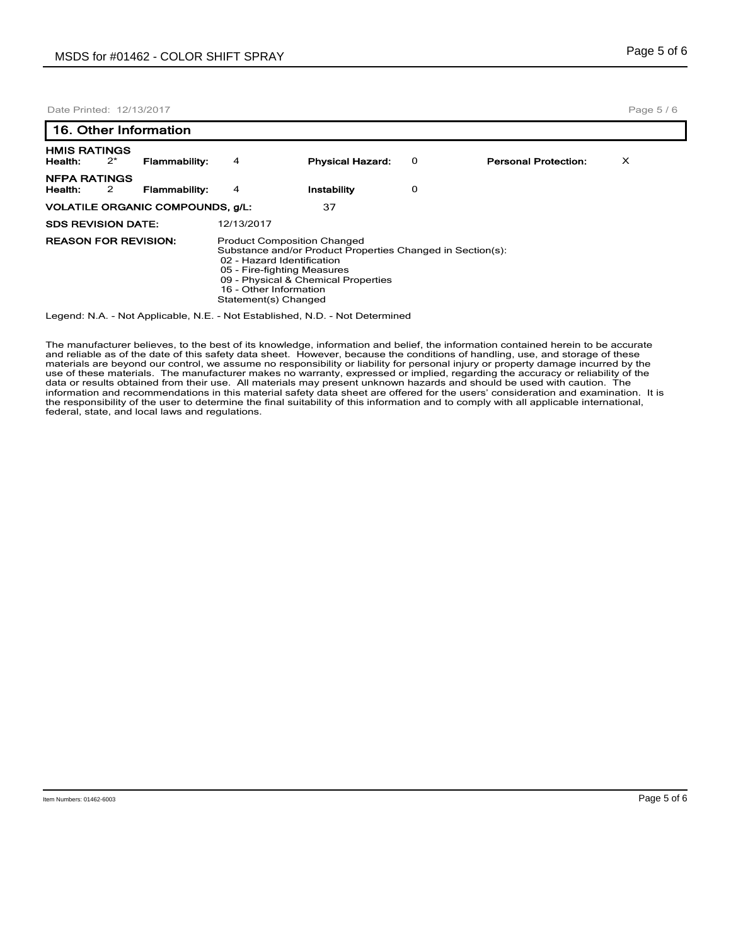| 16. Other Information          |       |                                         |            |                                                                                                                                                               |   |                             |          |  |
|--------------------------------|-------|-----------------------------------------|------------|---------------------------------------------------------------------------------------------------------------------------------------------------------------|---|-----------------------------|----------|--|
| <b>HMIS RATINGS</b><br>Health: | $2^*$ | <b>Flammability:</b>                    | 4          | <b>Physical Hazard:</b>                                                                                                                                       | 0 | <b>Personal Protection:</b> | $\times$ |  |
| <b>NFPA RATINGS</b><br>Health: | 2     | <b>Flammability:</b>                    | 4          | Instability                                                                                                                                                   | 0 |                             |          |  |
|                                |       | <b>VOLATILE ORGANIC COMPOUNDS, g/L:</b> |            | 37                                                                                                                                                            |   |                             |          |  |
| <b>SDS REVISION DATE:</b>      |       |                                         | 12/13/2017 |                                                                                                                                                               |   |                             |          |  |
| <b>REASON FOR REVISION:</b>    |       |                                         |            | <b>Product Composition Changed</b><br>Substance and/or Product Properties Changed in Section(s):<br>02 - Hazard Identification<br>05 - Fire-fighting Measures |   |                             |          |  |

09 - Physical & Chemical Properties

16 - Other Information

Statement(s) Changed

Legend: N.A. - Not Applicable, N.E. - Not Established, N.D. - Not Determined

The manufacturer believes, to the best of its knowledge, information and belief, the information contained herein to be accurate and reliable as of the date of this safety data sheet. However, because the conditions of handling, use, and storage of these materials are beyond our control, we assume no responsibility or liability for personal injury or property damage incurred by the use of these materials. The manufacturer makes no warranty, expressed or implied, regarding the accuracy or reliability of the data or results obtained from their use. All materials may present unknown hazards and should be used with caution. The information and recommendations in this material safety data sheet are offered for the users' consideration and examination. It is the responsibility of the user to determine the final suitability of this information and to comply with all applicable international, federal, state, and local laws and regulations.

Page 5 / 6